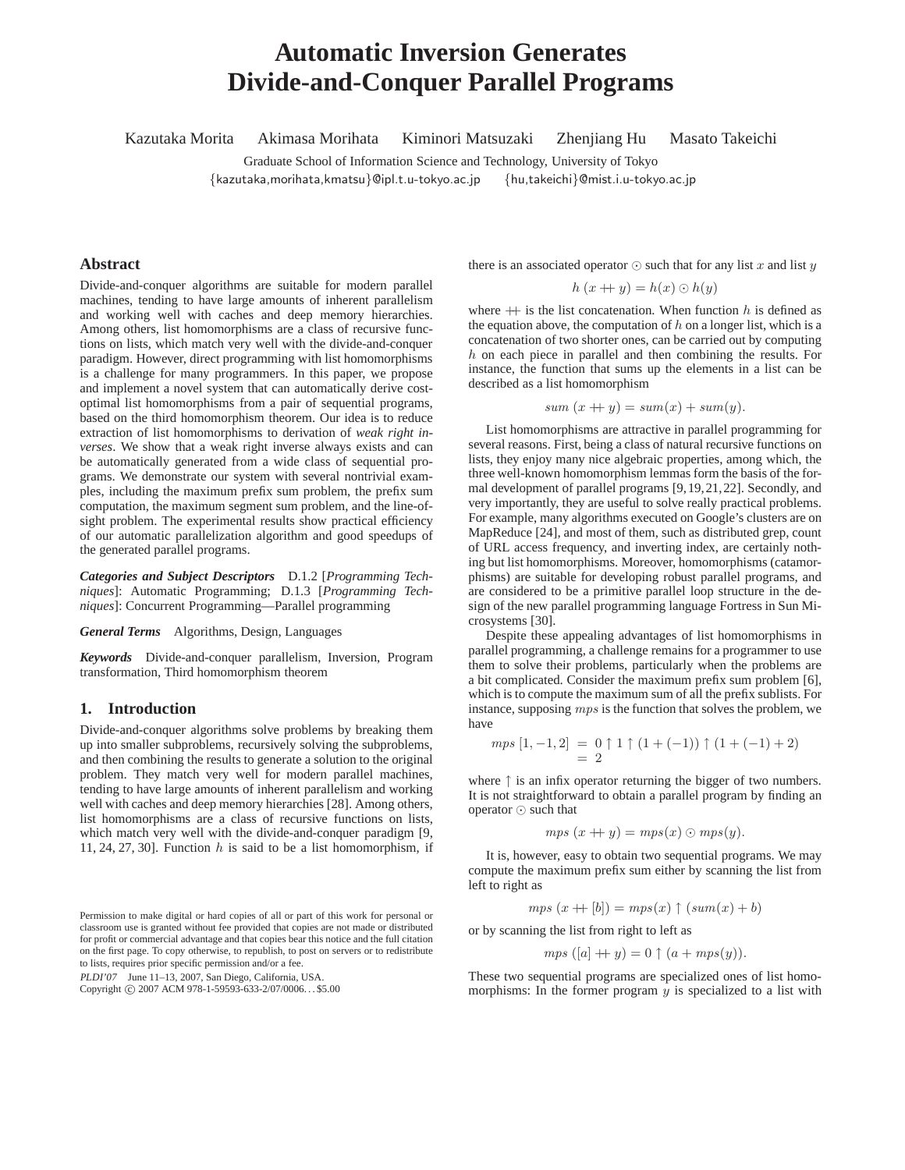# **Automatic Inversion Generates Divide-and-Conquer Parallel Programs**

Kazutaka Morita Akimasa Morihata Kiminori Matsuzaki Zhenjiang Hu Masato Takeichi

Graduate School of Information Science and Technology, University of Tokyo {kazutaka,morihata,kmatsu}@ipl.t.u-tokyo.ac.jp {hu,takeichi}@mist.i.u-tokyo.ac.jp

# **Abstract**

Divide-and-conquer algorithms are suitable for modern parallel machines, tending to have large amounts of inherent parallelism and working well with caches and deep memory hierarchies. Among others, list homomorphisms are a class of recursive functions on lists, which match very well with the divide-and-conquer paradigm. However, direct programming with list homomorphisms is a challenge for many programmers. In this paper, we propose and implement a novel system that can automatically derive costoptimal list homomorphisms from a pair of sequential programs, based on the third homomorphism theorem. Our idea is to reduce extraction of list homomorphisms to derivation of *weak right inverses*. We show that a weak right inverse always exists and can be automatically generated from a wide class of sequential programs. We demonstrate our system with several nontrivial examples, including the maximum prefix sum problem, the prefix sum computation, the maximum segment sum problem, and the line-ofsight problem. The experimental results show practical efficiency of our automatic parallelization algorithm and good speedups of the generated parallel programs.

*Categories and Subject Descriptors* D.1.2 [*Programming Techniques*]: Automatic Programming; D.1.3 [*Programming Techniques*]: Concurrent Programming—Parallel programming

*General Terms* Algorithms, Design, Languages

*Keywords* Divide-and-conquer parallelism, Inversion, Program transformation, Third homomorphism theorem

# **1. Introduction**

Divide-and-conquer algorithms solve problems by breaking them up into smaller subproblems, recursively solving the subproblems, and then combining the results to generate a solution to the original problem. They match very well for modern parallel machines, tending to have large amounts of inherent parallelism and working well with caches and deep memory hierarchies [28]. Among others, list homomorphisms are a class of recursive functions on lists, which match very well with the divide-and-conquer paradigm [9, 11, 24, 27, 30]. Function  $h$  is said to be a list homomorphism, if

PLDI'07 June 11–13, 2007, San Diego, California, USA.

there is an associated operator  $\odot$  such that for any list x and list y

$$
h(x + y) = h(x) \odot h(y)
$$

where  $+$  is the list concatenation. When function h is defined as the equation above, the computation of  $h$  on a longer list, which is a concatenation of two shorter ones, can be carried out by computing h on each piece in parallel and then combining the results. For instance, the function that sums up the elements in a list can be described as a list homomorphism

$$
sum(x + y) = sum(x) + sum(y).
$$

List homomorphisms are attractive in parallel programming for several reasons. First, being a class of natural recursive functions on lists, they enjoy many nice algebraic properties, among which, the three well-known homomorphism lemmas form the basis of the formal development of parallel programs [9,19,21,22]. Secondly, and very importantly, they are useful to solve really practical problems. For example, many algorithms executed on Google's clusters are on MapReduce [24], and most of them, such as distributed grep, count of URL access frequency, and inverting index, are certainly nothing but list homomorphisms. Moreover, homomorphisms (catamorphisms) are suitable for developing robust parallel programs, and are considered to be a primitive parallel loop structure in the design of the new parallel programming language Fortress in Sun Microsystems [30].

Despite these appealing advantages of list homomorphisms in parallel programming, a challenge remains for a programmer to use them to solve their problems, particularly when the problems are a bit complicated. Consider the maximum prefix sum problem [6], which is to compute the maximum sum of all the prefix sublists. For instance, supposing mps is the function that solves the problem, we have

$$
mps [1, -1, 2] = 0 \uparrow 1 \uparrow (1 + (-1)) \uparrow (1 + (-1) + 2)
$$
  
= 2

where  $\uparrow$  is an infix operator returning the bigger of two numbers. It is not straightforward to obtain a parallel program by finding an operator ⊙ such that

$$
mps(x + y) = mps(x) \odot mps(y).
$$

It is, however, easy to obtain two sequential programs. We may compute the maximum prefix sum either by scanning the list from left to right as

$$
mps(x + [b]) = mps(x) \uparrow (sum(x) + b)
$$

or by scanning the list from right to left as

$$
mps ([a] + y) = 0 \uparrow (a + mps(y)).
$$

These two sequential programs are specialized ones of list homomorphisms: In the former program  $\hat{y}$  is specialized to a list with

Permission to make digital or hard copies of all or part of this work for personal or classroom use is granted without fee provided that copies are not made or distributed for profit or commercial advantage and that copies bear this notice and the full citation on the first page. To copy otherwise, to republish, to post on servers or to redistribute to lists, requires prior specific permission and/or a fee.

Copyright © 2007 ACM 978-1-59593-633-2/07/0006... \$5.00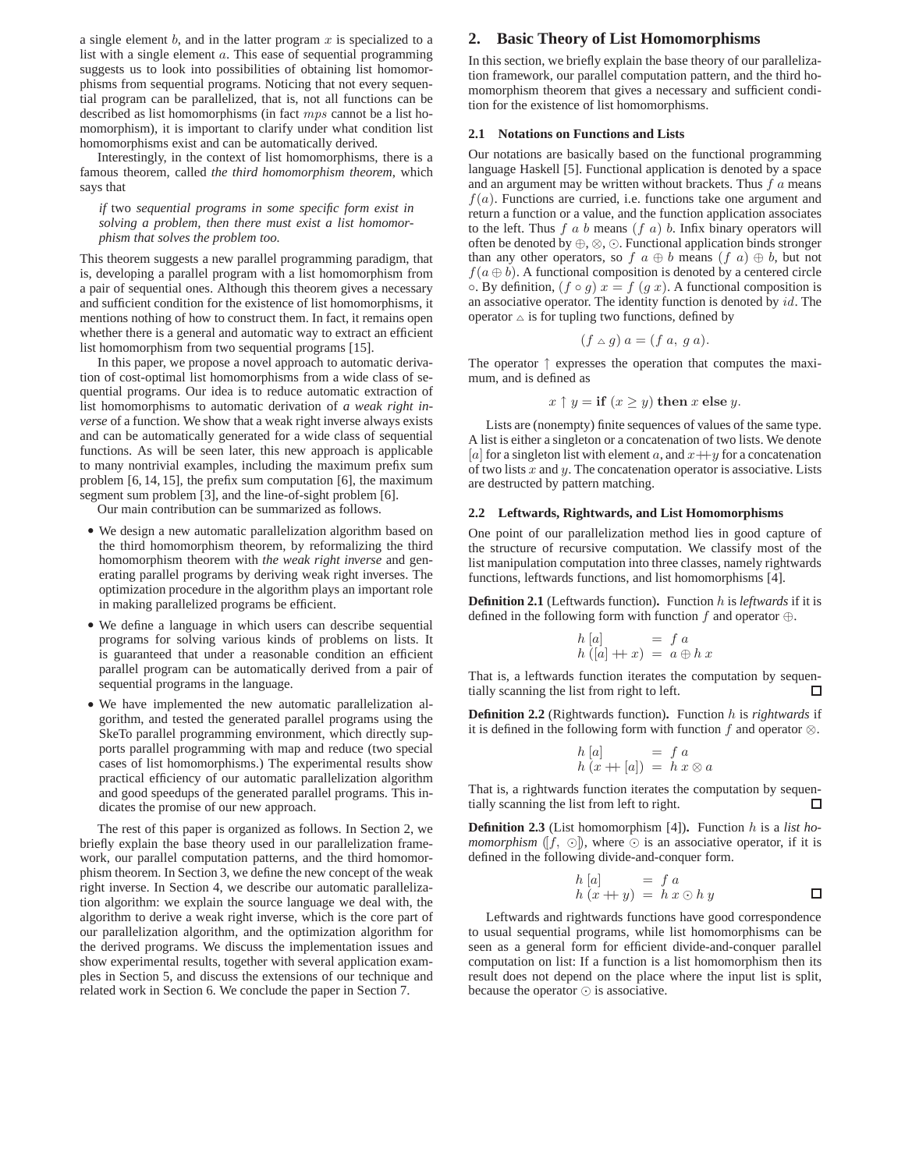a single element  $b$ , and in the latter program  $x$  is specialized to a list with a single element  $a$ . This ease of sequential programming suggests us to look into possibilities of obtaining list homomorphisms from sequential programs. Noticing that not every sequential program can be parallelized, that is, not all functions can be described as list homomorphisms (in fact mps cannot be a list homomorphism), it is important to clarify under what condition list homomorphisms exist and can be automatically derived.

Interestingly, in the context of list homomorphisms, there is a famous theorem, called *the third homomorphism theorem*, which says that

*if* two *sequential programs in some specific form exist in solving a problem, then there must exist a list homomorphism that solves the problem too.*

This theorem suggests a new parallel programming paradigm, that is, developing a parallel program with a list homomorphism from a pair of sequential ones. Although this theorem gives a necessary and sufficient condition for the existence of list homomorphisms, it mentions nothing of how to construct them. In fact, it remains open whether there is a general and automatic way to extract an efficient list homomorphism from two sequential programs [15].

In this paper, we propose a novel approach to automatic derivation of cost-optimal list homomorphisms from a wide class of sequential programs. Our idea is to reduce automatic extraction of list homomorphisms to automatic derivation of *a weak right inverse* of a function. We show that a weak right inverse always exists and can be automatically generated for a wide class of sequential functions. As will be seen later, this new approach is applicable to many nontrivial examples, including the maximum prefix sum problem [6, 14, 15], the prefix sum computation [6], the maximum segment sum problem [3], and the line-of-sight problem [6].

Our main contribution can be summarized as follows.

- We design a new automatic parallelization algorithm based on the third homomorphism theorem, by reformalizing the third homomorphism theorem with *the weak right inverse* and generating parallel programs by deriving weak right inverses. The optimization procedure in the algorithm plays an important role in making parallelized programs be efficient.
- We define a language in which users can describe sequential programs for solving various kinds of problems on lists. It is guaranteed that under a reasonable condition an efficient parallel program can be automatically derived from a pair of sequential programs in the language.
- We have implemented the new automatic parallelization algorithm, and tested the generated parallel programs using the SkeTo parallel programming environment, which directly supports parallel programming with map and reduce (two special cases of list homomorphisms.) The experimental results show practical efficiency of our automatic parallelization algorithm and good speedups of the generated parallel programs. This indicates the promise of our new approach.

The rest of this paper is organized as follows. In Section 2, we briefly explain the base theory used in our parallelization framework, our parallel computation patterns, and the third homomorphism theorem. In Section 3, we define the new concept of the weak right inverse. In Section 4, we describe our automatic parallelization algorithm: we explain the source language we deal with, the algorithm to derive a weak right inverse, which is the core part of our parallelization algorithm, and the optimization algorithm for the derived programs. We discuss the implementation issues and show experimental results, together with several application examples in Section 5, and discuss the extensions of our technique and related work in Section 6. We conclude the paper in Section 7.

# **2. Basic Theory of List Homomorphisms**

In this section, we briefly explain the base theory of our parallelization framework, our parallel computation pattern, and the third homomorphism theorem that gives a necessary and sufficient condition for the existence of list homomorphisms.

#### **2.1 Notations on Functions and Lists**

Our notations are basically based on the functional programming language Haskell [5]. Functional application is denoted by a space and an argument may be written without brackets. Thus  $f_a$  means  $f(a)$ . Functions are curried, i.e. functions take one argument and return a function or a value, and the function application associates to the left. Thus  $f$  a b means  $(f \, a)$  b. Infix binary operators will often be denoted by ⊕, ⊗, ⊙. Functional application binds stronger than any other operators, so f  $a \oplus b$  means  $(f \ a) \oplus b$ , but not  $f(a \oplus b)$ . A functional composition is denoted by a centered circle  $\circ$ . By definition,  $(f \circ g) x = f(g x)$ . A functional composition is an associative operator. The identity function is denoted by id. The operator  $\triangle$  is for tupling two functions, defined by

$$
(f \triangle g) a = (f a, g a).
$$

The operator ↑ expresses the operation that computes the maximum, and is defined as

$$
x \uparrow y = \text{if } (x \ge y) \text{ then } x \text{ else } y.
$$

Lists are (nonempty) finite sequences of values of the same type. A list is either a singleton or a concatenation of two lists. We denote [a] for a singleton list with element a, and  $x+y$  for a concatenation of two lists  $x$  and  $y$ . The concatenation operator is associative. Lists are destructed by pattern matching.

#### **2.2 Leftwards, Rightwards, and List Homomorphisms**

One point of our parallelization method lies in good capture of the structure of recursive computation. We classify most of the list manipulation computation into three classes, namely rightwards functions, leftwards functions, and list homomorphisms [4].

**Definition 2.1** (Leftwards function)**.** Function h is *leftwards* if it is defined in the following form with function f and operator  $\oplus$ .

$$
\begin{array}{ll} h [a] \\ h\left([a] \right.+x\right) = a \oplus h x \end{array}
$$

That is, a leftwards function iterates the computation by sequentially scanning the list from right to left.  $\Box$ 

**Definition 2.2** (Rightwards function)**.** Function h is *rightwards* if it is defined in the following form with function f and operator  $\otimes$ .

$$
\begin{array}{ll}\nh[a] & = f a \\
h(x + [a]) & = h x \otimes a\n\end{array}
$$

That is, a rightwards function iterates the computation by sequentially scanning the list from left to right. п

**Definition 2.3** (List homomorphism [4])**.** Function h is a *list homomorphism* ([f, ⊙]), where  $\odot$  is an associative operator, if it is defined in the following divide-and-conquer form.

$$
h [a] = f a
$$
  
\n
$$
h (x + y) = h x \odot h y
$$

Leftwards and rightwards functions have good correspondence to usual sequential programs, while list homomorphisms can be seen as a general form for efficient divide-and-conquer parallel computation on list: If a function is a list homomorphism then its result does not depend on the place where the input list is split, because the operator ⊙ is associative.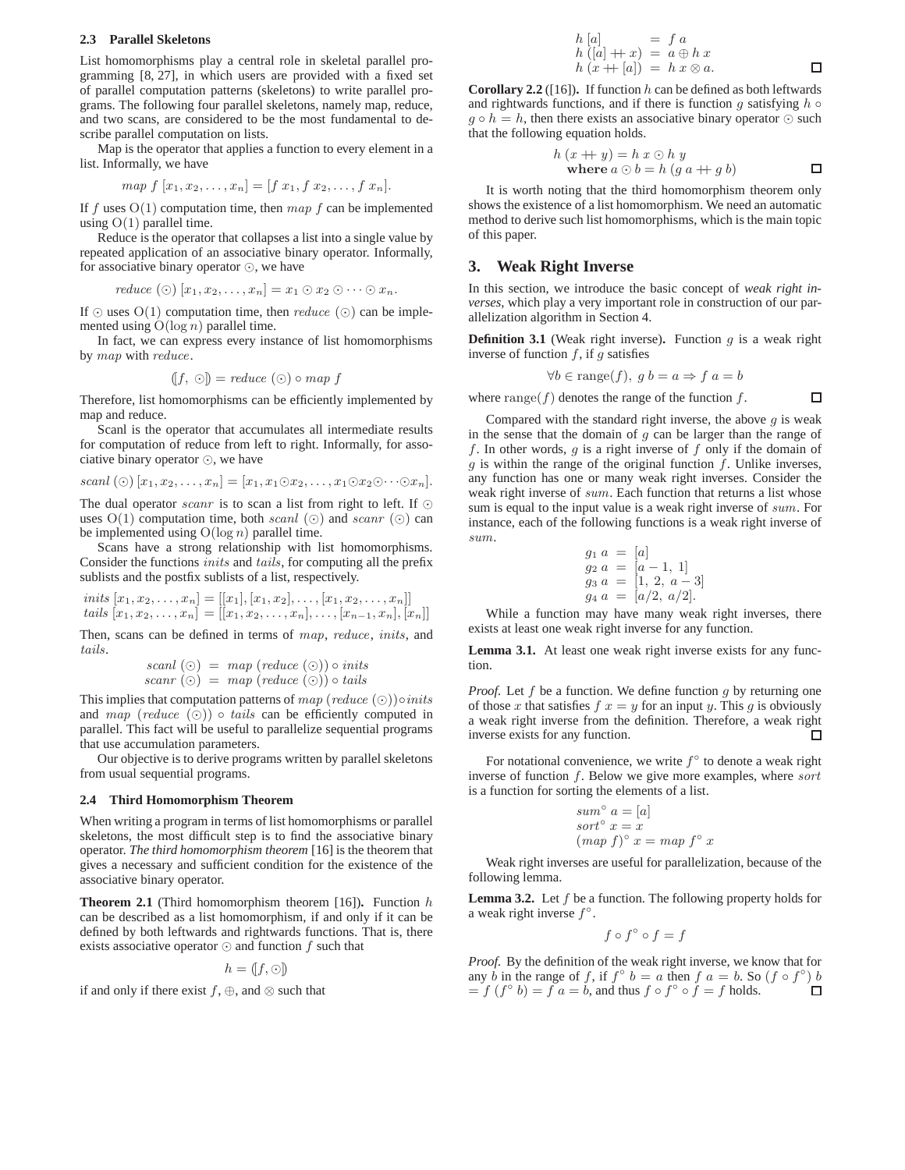## **2.3 Parallel Skeletons**

List homomorphisms play a central role in skeletal parallel programming [8, 27], in which users are provided with a fixed set of parallel computation patterns (skeletons) to write parallel programs. The following four parallel skeletons, namely map, reduce, and two scans, are considered to be the most fundamental to describe parallel computation on lists.

Map is the operator that applies a function to every element in a list. Informally, we have

map 
$$
f[x_1, x_2,...,x_n] = [f x_1, f x_2,...,f x_n].
$$

If f uses  $O(1)$  computation time, then  $map$  f can be implemented using  $O(1)$  parallel time.

Reduce is the operator that collapses a list into a single value by repeated application of an associative binary operator. Informally, for associative binary operator ⊙, we have

$$
reduce\ (\odot)\ [x_1, x_2, \ldots, x_n] = x_1 \odot x_2 \odot \cdots \odot x_n.
$$

If  $\odot$  uses  $O(1)$  computation time, then *reduce* ( $\odot$ ) can be implemented using  $O(\log n)$  parallel time.

In fact, we can express every instance of list homomorphisms by map with reduce.

$$
([f, \odot]) = reduce(\odot) \circ map f
$$

Therefore, list homomorphisms can be efficiently implemented by map and reduce.

Scanl is the operator that accumulates all intermediate results for computation of reduce from left to right. Informally, for associative binary operator ⊙, we have

$$
scal\left(\odot\right)[x_1,x_2,\ldots,x_n]=[x_1,x_1\odot x_2,\ldots,x_1\odot x_2\odot\cdots\odot x_n].
$$

The dual operator *scanr* is to scan a list from right to left. If  $\odot$ uses  $O(1)$  computation time, both scanl  $(\odot)$  and scanr  $(\odot)$  can be implemented using  $O(log n)$  parallel time.

Scans have a strong relationship with list homomorphisms. Consider the functions inits and tails, for computing all the prefix sublists and the postfix sublists of a list, respectively.

$$
inits [x_1, x_2, \dots, x_n] = [[x_1], [x_1, x_2], \dots, [x_1, x_2, \dots, x_n]]
$$
  
*tails*  $[x_1, x_2, \dots, x_n] = [[x_1, x_2, \dots, x_n], \dots, [x_{n-1}, x_n], [x_n]]$ 

Then, scans can be defined in terms of map, reduce, inits, and tails.

$$
scanl(\odot) = map (reduce(\odot)) \circ inits
$$
  
scanr(\odot) = map (reduce(\odot)) \circ tails

This implies that computation patterns of  $map$  (reduce  $(\odot)$ )∘inits and map (reduce  $(\odot)$ )  $\circ$  tails can be efficiently computed in parallel. This fact will be useful to parallelize sequential programs that use accumulation parameters.

Our objective is to derive programs written by parallel skeletons from usual sequential programs.

#### **2.4 Third Homomorphism Theorem**

When writing a program in terms of list homomorphisms or parallel skeletons, the most difficult step is to find the associative binary operator. *The third homomorphism theorem* [16] is the theorem that gives a necessary and sufficient condition for the existence of the associative binary operator.

**Theorem 2.1** (Third homomorphism theorem [16])**.** Function h can be described as a list homomorphism, if and only if it can be defined by both leftwards and rightwards functions. That is, there exists associative operator  $\odot$  and function f such that

$$
h = (f, \odot)
$$

if and only if there exist  $f, \oplus$ , and  $\otimes$  such that

$$
h [a] = f a
$$
  
\n
$$
h ([a] + x) = a \oplus h x
$$
  
\n
$$
h (x + |a|) = h x \otimes a.
$$

**Corollary 2.2** ([16]). If function  $h$  can be defined as both leftwards and rightwards functions, and if there is function g satisfying  $h \circ$  $g \circ h = h$ , then there exists an associative binary operator  $\odot$  such that the following equation holds.

$$
h (x + y) = h x \odot h y
$$
  
where  $a \odot b = h (g a + g b)$ 

 $\Box$ 

It is worth noting that the third homomorphism theorem only shows the existence of a list homomorphism. We need an automatic method to derive such list homomorphisms, which is the main topic of this paper.

# **3. Weak Right Inverse**

In this section, we introduce the basic concept of *weak right inverses*, which play a very important role in construction of our parallelization algorithm in Section 4.

**Definition 3.1** (Weak right inverse). Function  $g$  is a weak right inverse of function  $f$ , if  $g$  satisfies

$$
\forall b \in \text{range}(f), \ g \ b = a \Rightarrow f \ a = b
$$

where  $\text{range}(f)$  denotes the range of the function f.

Compared with the standard right inverse, the above  $g$  is weak in the sense that the domain of  $g$  can be larger than the range of f. In other words,  $g$  is a right inverse of  $f$  only if the domain of  $g$  is within the range of the original function  $f$ . Unlike inverses, any function has one or many weak right inverses. Consider the weak right inverse of sum. Each function that returns a list whose sum is equal to the input value is a weak right inverse of sum. For instance, each of the following functions is a weak right inverse of sum.

$$
g_1 a = [a] g_2 a = [a - 1, 1] g_3 a = [1, 2, a - 3] g_4 a = [a/2, a/2].
$$

While a function may have many weak right inverses, there exists at least one weak right inverse for any function.

**Lemma 3.1.** At least one weak right inverse exists for any function.

*Proof.* Let  $f$  be a function. We define function  $g$  by returning one of those x that satisfies  $f(x) = y$  for an input y. This g is obviously a weak right inverse from the definition. Therefore, a weak right inverse exists for any function. П

For notational convenience, we write  $f^{\circ}$  to denote a weak right inverse of function f. Below we give more examples, where sort is a function for sorting the elements of a list.

$$
sum^{\circ} a = [a]
$$
  
sort<sup>°</sup> x = x  
(map f)<sup>°</sup> x = map f<sup>°</sup> x

Weak right inverses are useful for parallelization, because of the following lemma.

**Lemma 3.2.** Let f be a function. The following property holds for a weak right inverse  $f^{\circ}$ .

$$
f\circ f^\circ \circ f = f
$$

*Proof.* By the definition of the weak right inverse, we know that for any *b* in the range of *f*, if  $f^{\circ} b = a$  then  $f a = b$ . So  $(f \circ f^{\circ}) b$  $= f(f^{\circ} b) = f a = b$ , and thus  $f \circ f^{\circ} \circ f = f$  holds.  $\Box$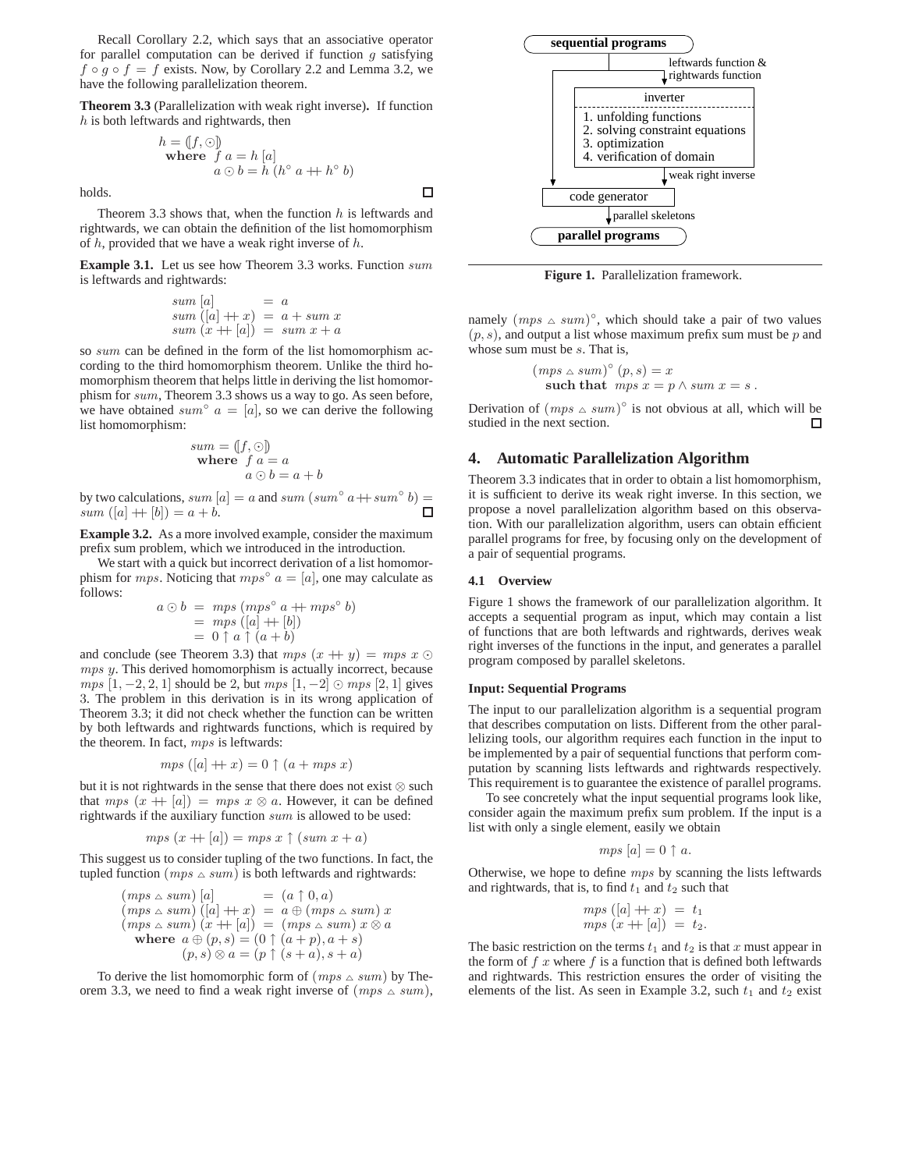Recall Corollary 2.2, which says that an associative operator for parallel computation can be derived if function  $q$  satisfying  $f \circ g \circ f = f$  exists. Now, by Corollary 2.2 and Lemma 3.2, we have the following parallelization theorem.

**Theorem 3.3** (Parallelization with weak right inverse)**.** If function  $h$  is both leftwards and rightwards, then

$$
h = (f, \odot)
$$
  
where  $f a = h [a]$   
 $a \odot b = h (h^{\circ} a + h^{\circ} b)$ 

holds.

Theorem 3.3 shows that, when the function  $h$  is leftwards and rightwards, we can obtain the definition of the list homomorphism of  $h$ , provided that we have a weak right inverse of  $h$ .

**Example 3.1.** Let us see how Theorem 3.3 works. Function sum is leftwards and rightwards:

$$
sum [a] = a
$$
  
\n
$$
sum ([a] + x) = a + sum x
$$
  
\n
$$
sum (x + |a|) = sum x + a
$$

so sum can be defined in the form of the list homomorphism according to the third homomorphism theorem. Unlike the third homomorphism theorem that helps little in deriving the list homomorphism for sum, Theorem 3.3 shows us a way to go. As seen before, we have obtained sum<sup>o</sup>  $a = [a]$ , so we can derive the following list homomorphism:

sum = 
$$
(f, \odot)
$$
  
where  $f a = a$   
 $a \odot b = a + b$ 

by two calculations, sum  $[a] = a$  and sum  $(sum^{\circ} a + \text{sum}^{\circ} b) =$  $sum ([a] + [b]) = a + b.$ 

**Example 3.2.** As a more involved example, consider the maximum prefix sum problem, which we introduced in the introduction.

We start with a quick but incorrect derivation of a list homomorphism for *mps*. Noticing that  $mps° a = [a]$ , one may calculate as follows:

$$
a \odot b = mps (mps^{\circ} a + mps^{\circ} b)
$$
  
= mps ([a] + [b])  
= 0 \uparrow a \uparrow (a + b)

and conclude (see Theorem 3.3) that  $mps(x + y) = mps(x)$ mps y. This derived homomorphism is actually incorrect, because  $mps$  [1, -2, 2, 1] should be 2, but  $mps$  [1, -2]  $\odot mps$  [2, 1] gives 3. The problem in this derivation is in its wrong application of Theorem 3.3; it did not check whether the function can be written by both leftwards and rightwards functions, which is required by the theorem. In fact, mps is leftwards:

$$
mps ([a] + x) = 0 \uparrow (a + mps x)
$$

but it is not rightwards in the sense that there does not exist ⊗ such that  $mps(x + |a|) = mps \ x \otimes a$ . However, it can be defined rightwards if the auxiliary function sum is allowed to be used:

$$
mps (x + [a]) = mps x \uparrow (sum x + a)
$$

This suggest us to consider tupling of the two functions. In fact, the tupled function ( $mps \triangle sum$ ) is both leftwards and rightwards:

$$
(mps \triangle sum) [a] = (a \uparrow 0, a)
$$
  
\n
$$
(mps \triangle sum) ([a] + x) = a \oplus (mps \triangle sum) x
$$
  
\n
$$
(mps \triangle sum) (x + [a]) = (mps \triangle sum) x \otimes a
$$
  
\nwhere  $a \oplus (p, s) = (0 \uparrow (a + p), a + s)$   
\n
$$
(p, s) \otimes a = (p \uparrow (s + a), s + a)
$$

To derive the list homomorphic form of  $(mps \triangle sum)$  by Theorem 3.3, we need to find a weak right inverse of  $(mps \triangle sum)$ ,



**Figure 1.** Parallelization framework.

namely  $(mps \triangle sum)^{\circ}$ , which should take a pair of two values  $(p, s)$ , and output a list whose maximum prefix sum must be p and whose sum must be s. That is,

$$
(mps \triangle sum)^{\circ} (p, s) = x
$$
  
such that  $mps x = p \triangle sum x = s$ .

Derivation of  $(mps \triangle sum)^\circ$  is not obvious at all, which will be studied in the next section. П

# **4. Automatic Parallelization Algorithm**

Theorem 3.3 indicates that in order to obtain a list homomorphism, it is sufficient to derive its weak right inverse. In this section, we propose a novel parallelization algorithm based on this observation. With our parallelization algorithm, users can obtain efficient parallel programs for free, by focusing only on the development of a pair of sequential programs.

# **4.1 Overview**

 $\Box$ 

Figure 1 shows the framework of our parallelization algorithm. It accepts a sequential program as input, which may contain a list of functions that are both leftwards and rightwards, derives weak right inverses of the functions in the input, and generates a parallel program composed by parallel skeletons.

#### **Input: Sequential Programs**

The input to our parallelization algorithm is a sequential program that describes computation on lists. Different from the other parallelizing tools, our algorithm requires each function in the input to be implemented by a pair of sequential functions that perform computation by scanning lists leftwards and rightwards respectively. This requirement is to guarantee the existence of parallel programs.

To see concretely what the input sequential programs look like, consider again the maximum prefix sum problem. If the input is a list with only a single element, easily we obtain

$$
mps [a] = 0 \uparrow a.
$$

Otherwise, we hope to define mps by scanning the lists leftwards and rightwards, that is, to find  $t_1$  and  $t_2$  such that

$$
mps ([a] + x) = t1
$$
  

$$
mps (x + [a]) = t2.
$$

The basic restriction on the terms  $t_1$  and  $t_2$  is that x must appear in the form of  $f x$  where  $f$  is a function that is defined both leftwards and rightwards. This restriction ensures the order of visiting the elements of the list. As seen in Example 3.2, such  $t_1$  and  $t_2$  exist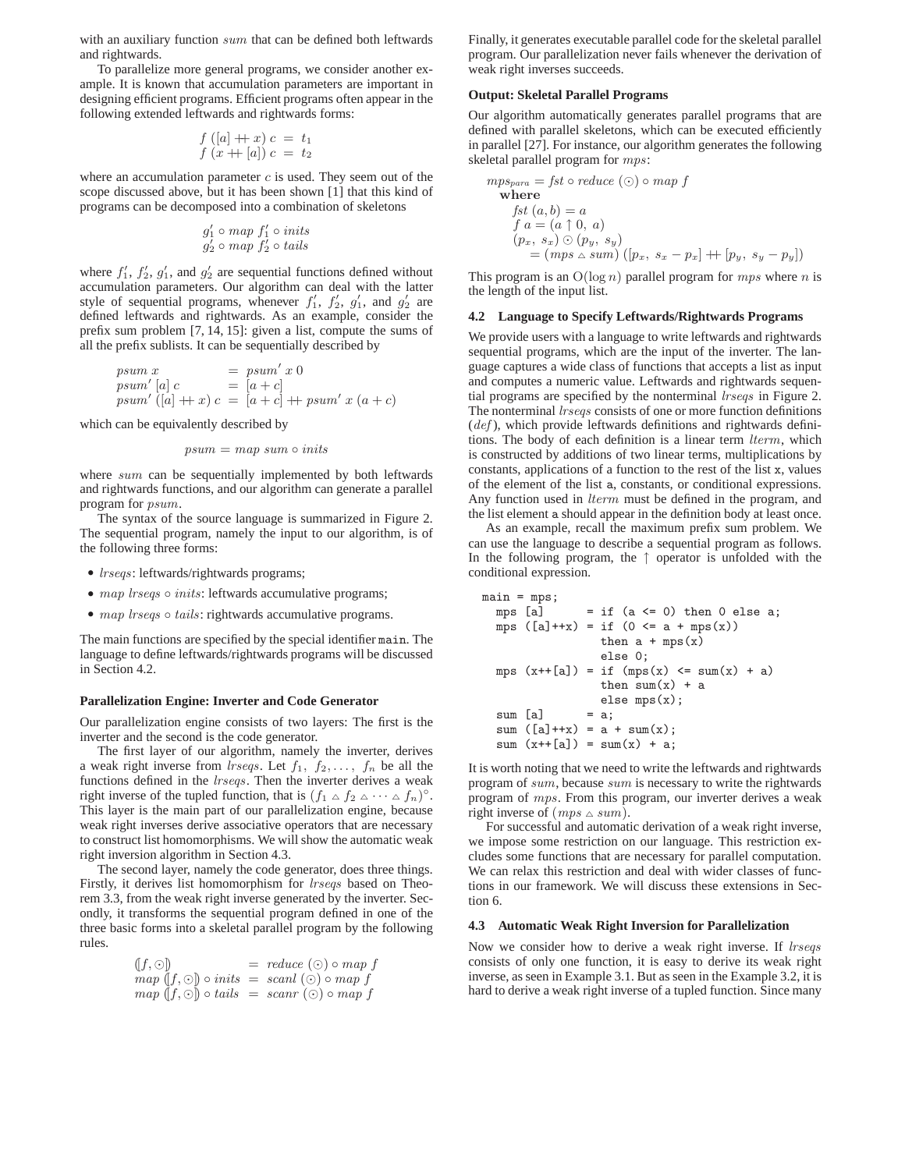with an auxiliary function sum that can be defined both leftwards and rightwards.

To parallelize more general programs, we consider another example. It is known that accumulation parameters are important in designing efficient programs. Efficient programs often appear in the following extended leftwards and rightwards forms:

$$
\begin{array}{c}\nf([a] + x) c = t_1 \\
f(x + [a]) c = t_2\n\end{array}
$$

where an accumulation parameter  $c$  is used. They seem out of the scope discussed above, but it has been shown [1] that this kind of programs can be decomposed into a combination of skeletons

$$
g'_1 \circ map \ f'_1 \circ inits
$$
  
 $g'_2 \circ map \ f'_2 \circ tails$ 

where  $f'_1$ ,  $f'_2$ ,  $g'_1$ , and  $g'_2$  are sequential functions defined without accumulation parameters. Our algorithm can deal with the latter style of sequential programs, whenever  $f'_1$ ,  $f'_2$ ,  $g'_1$ , and  $g'_2$  are defined leftwards and rightwards. As an example, consider the prefix sum problem [7, 14, 15]: given a list, compute the sums of all the prefix sublists. It can be sequentially described by

$$
psum x = psum' x 0
$$
  
\n
$$
psum' [a] c = [a + c]
$$
  
\n
$$
psum' [(a] + x) c = [a + c] + psum' x (a + c)
$$

which can be equivalently described by

$$
psum = map \ sum \ \circ \ inits
$$

where sum can be sequentially implemented by both leftwards and rightwards functions, and our algorithm can generate a parallel program for psum.

The syntax of the source language is summarized in Figure 2. The sequential program, namely the input to our algorithm, is of the following three forms:

- *lrseqs*: leftwards/rightwards programs;
- map lrseqs o inits: leftwards accumulative programs;
- map lrseqs o tails: rightwards accumulative programs.

The main functions are specified by the special identifier main. The language to define leftwards/rightwards programs will be discussed in Section 4.2.

#### **Parallelization Engine: Inverter and Code Generator**

Our parallelization engine consists of two layers: The first is the inverter and the second is the code generator.

The first layer of our algorithm, namely the inverter, derives a weak right inverse from *lrseqs*. Let  $f_1, f_2, \ldots, f_n$  be all the functions defined in the lrseqs. Then the inverter derives a weak right inverse of the tupled function, that is  $(f_1 \triangle f_2 \triangle \cdots \triangle f_n)^{\circ}$ . This layer is the main part of our parallelization engine, because weak right inverses derive associative operators that are necessary to construct list homomorphisms. We will show the automatic weak right inversion algorithm in Section 4.3.

The second layer, namely the code generator, does three things. Firstly, it derives list homomorphism for *lrseqs* based on Theorem 3.3, from the weak right inverse generated by the inverter. Secondly, it transforms the sequential program defined in one of the three basic forms into a skeletal parallel program by the following rules.

| $(f,\odot)$                                              | $=$ reduce $(\odot) \circ map f$ |
|----------------------------------------------------------|----------------------------------|
| $map(f, \odot) \circ inits = scanl(\odot) \circ map f$   |                                  |
| $map (f, \odot) \circ tails = scanr (\odot) \circ map f$ |                                  |

Finally, it generates executable parallel code for the skeletal parallel program. Our parallelization never fails whenever the derivation of weak right inverses succeeds.

#### **Output: Skeletal Parallel Programs**

Our algorithm automatically generates parallel programs that are defined with parallel skeletons, which can be executed efficiently in parallel [27]. For instance, our algorithm generates the following skeletal parallel program for mps:

$$
mps_{para} = fst \circ reduce \ (\odot) \circ map \ f
$$
  
\nwhere  
\n
$$
fst \ (a, b) = a
$$
  
\n
$$
f \ a = (a \uparrow 0, \ a)
$$
  
\n
$$
(p_x, s_x) \odot (p_y, s_y)
$$
  
\n
$$
= (mps \ \triangle sum) \ ([p_x, s_x - p_x] + [p_y, s_y - p_y])
$$

This program is an  $O(log n)$  parallel program for mps where n is the length of the input list.

# **4.2 Language to Specify Leftwards/Rightwards Programs**

We provide users with a language to write leftwards and rightwards sequential programs, which are the input of the inverter. The language captures a wide class of functions that accepts a list as input and computes a numeric value. Leftwards and rightwards sequential programs are specified by the nonterminal *lrseqs* in Figure 2. The nonterminal *lrseqs* consists of one or more function definitions  $(def)$ , which provide leftwards definitions and rightwards definitions. The body of each definition is a linear term lterm, which is constructed by additions of two linear terms, multiplications by constants, applications of a function to the rest of the list x, values of the element of the list a, constants, or conditional expressions. Any function used in *lterm* must be defined in the program, and the list element a should appear in the definition body at least once.

As an example, recall the maximum prefix sum problem. We can use the language to describe a sequential program as follows. In the following program, the ↑ operator is unfolded with the conditional expression.

```
main = mps;mps [a] = if (a \le 0) then 0 else a;
 mps ([a]++x) = if (0 \le a + mps(x))then a + mps(x)else 0;
 mps (x++[a]) = if (mps(x) < = sum(x) + a)then sum(x) + aelse mps(x);<br>= a;
  sum [a]sum ([a]++x) = a + sum(x);sum (x++[a]) = \text{sum}(x) + a;
```
It is worth noting that we need to write the leftwards and rightwards program of sum, because sum is necessary to write the rightwards program of mps. From this program, our inverter derives a weak right inverse of  $(mps \triangle sum)$ .

For successful and automatic derivation of a weak right inverse, we impose some restriction on our language. This restriction excludes some functions that are necessary for parallel computation. We can relax this restriction and deal with wider classes of functions in our framework. We will discuss these extensions in Section 6.

## **4.3 Automatic Weak Right Inversion for Parallelization**

Now we consider how to derive a weak right inverse. If *lrseqs* consists of only one function, it is easy to derive its weak right inverse, as seen in Example 3.1. But as seen in the Example 3.2, it is hard to derive a weak right inverse of a tupled function. Since many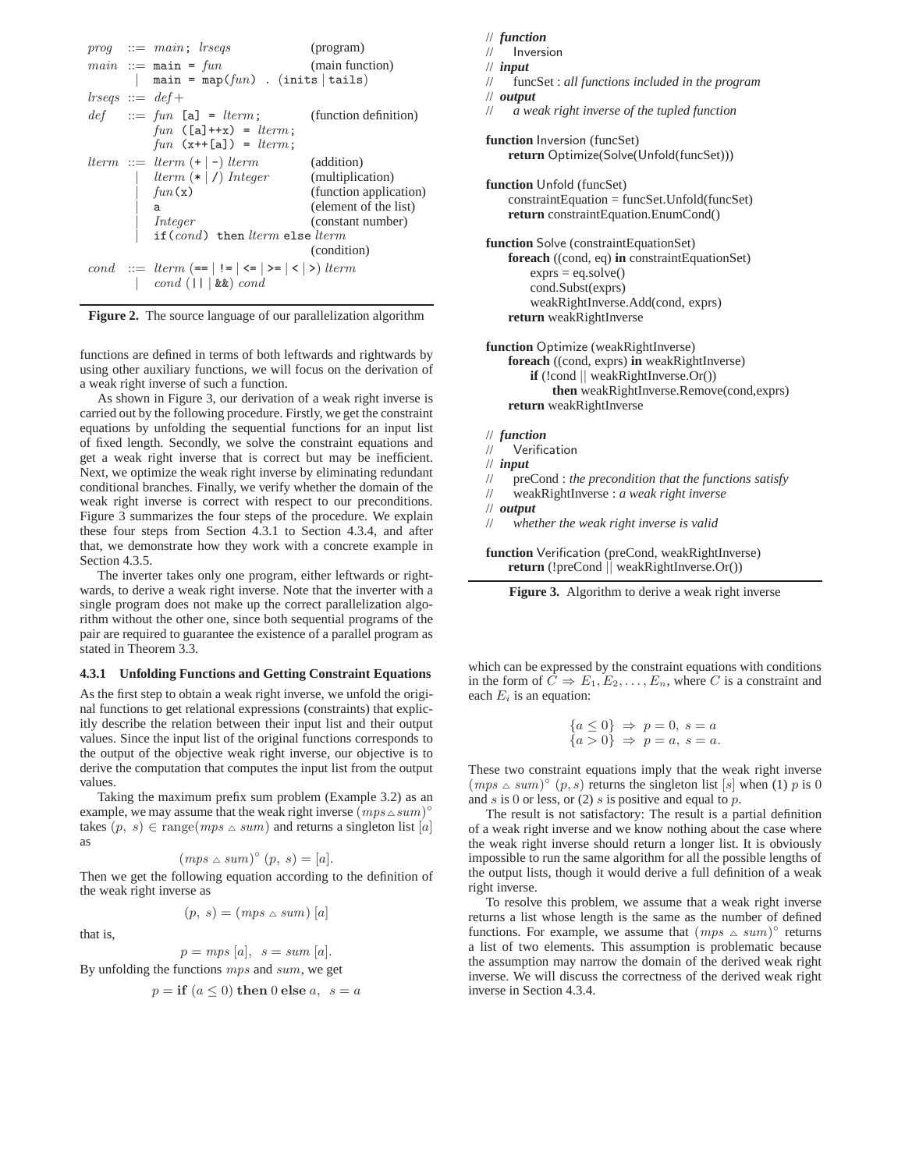



functions are defined in terms of both leftwards and rightwards by using other auxiliary functions, we will focus on the derivation of a weak right inverse of such a function.

As shown in Figure 3, our derivation of a weak right inverse is carried out by the following procedure. Firstly, we get the constraint equations by unfolding the sequential functions for an input list of fixed length. Secondly, we solve the constraint equations and get a weak right inverse that is correct but may be inefficient. Next, we optimize the weak right inverse by eliminating redundant conditional branches. Finally, we verify whether the domain of the weak right inverse is correct with respect to our preconditions. Figure 3 summarizes the four steps of the procedure. We explain these four steps from Section 4.3.1 to Section 4.3.4, and after that, we demonstrate how they work with a concrete example in Section 4.3.5.

The inverter takes only one program, either leftwards or rightwards, to derive a weak right inverse. Note that the inverter with a single program does not make up the correct parallelization algorithm without the other one, since both sequential programs of the pair are required to guarantee the existence of a parallel program as stated in Theorem 3.3.

#### **4.3.1 Unfolding Functions and Getting Constraint Equations**

As the first step to obtain a weak right inverse, we unfold the original functions to get relational expressions (constraints) that explicitly describe the relation between their input list and their output values. Since the input list of the original functions corresponds to the output of the objective weak right inverse, our objective is to derive the computation that computes the input list from the output values.

Taking the maximum prefix sum problem (Example 3.2) as an example, we may assume that the weak right inverse  $(mps \triangle sum)^\circ$ takes  $(p, s) \in \text{range}(mps \triangle sum)$  and returns a singleton list [a] as

$$
(mps \triangle sum)^{\circ} (p, s) = [a].
$$

Then we get the following equation according to the definition of the weak right inverse as

 $(p, s) = (mps \triangle sum) [a]$ 

that is,

$$
p = mps [a], \ \ s = sum [a].
$$

By unfolding the functions 
$$
mps
$$
 and  $sum$ , we get

$$
p = \textbf{if } (a \le 0) \textbf{ then } 0 \textbf{ else } a, \ s = a
$$

// *function*

```
// Inversion
```

```
// input
```
// funcSet : *all functions included in the program* // *output*

// *a weak right inverse of the tupled function*

**function** Inversion (funcSet) **return** Optimize(Solve(Unfold(funcSet)))

**function** Unfold (funcSet) constraintEquation = funcSet.Unfold(funcSet) **return** constraintEquation.EnumCond()

**function** Solve (constraintEquationSet) **foreach** ((cond, eq) **in** constraintEquationSet)  $exprs = eq.solve()$ cond.Subst(exprs) weakRightInverse.Add(cond, exprs) **return** weakRightInverse

**function** Optimize (weakRightInverse) **foreach** ((cond, exprs) **in** weakRightInverse) **if** (!cond || weakRightInverse.Or()) **then** weakRightInverse.Remove(cond,exprs) **return** weakRightInverse

// *function*

// Verification

// *input*

- // preCond : *the precondition that the functions satisfy*
- // weakRightInverse : *a weak right inverse*
- // *output*
- // *whether the weak right inverse is valid*

**function** Verification (preCond, weakRightInverse) **return** (!preCond || weakRightInverse.Or())



which can be expressed by the constraint equations with conditions in the form of  $C \Rightarrow E_1, E_2, \dots, E_n$ , where C is a constraint and each  $E_i$  is an equation:

$$
\begin{aligned}\n\{a \le 0\} &\Rightarrow p = 0, \ s = a \\
\{a > 0\} &\Rightarrow p = a, \ s = a.\n\end{aligned}
$$

These two constraint equations imply that the weak right inverse  $(mps \triangle sum)^\circ$   $(p, s)$  returns the singleton list [s] when (1) p is 0 and s is 0 or less, or  $(2)$  s is positive and equal to p.

The result is not satisfactory: The result is a partial definition of a weak right inverse and we know nothing about the case where the weak right inverse should return a longer list. It is obviously impossible to run the same algorithm for all the possible lengths of the output lists, though it would derive a full definition of a weak right inverse.

To resolve this problem, we assume that a weak right inverse returns a list whose length is the same as the number of defined functions. For example, we assume that  $(mps \triangle sum)^\circ$  returns a list of two elements. This assumption is problematic because the assumption may narrow the domain of the derived weak right inverse. We will discuss the correctness of the derived weak right inverse in Section 4.3.4.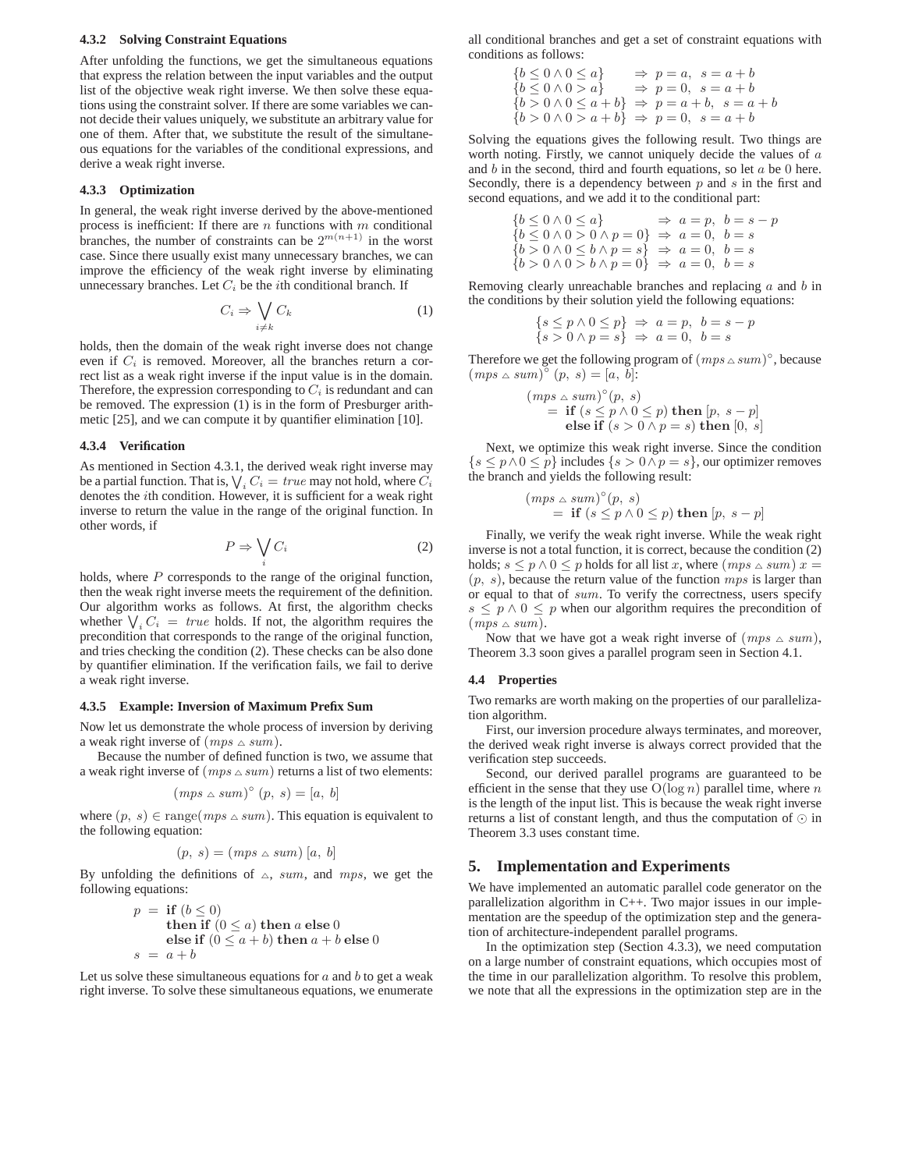#### **4.3.2 Solving Constraint Equations**

After unfolding the functions, we get the simultaneous equations that express the relation between the input variables and the output list of the objective weak right inverse. We then solve these equations using the constraint solver. If there are some variables we cannot decide their values uniquely, we substitute an arbitrary value for one of them. After that, we substitute the result of the simultaneous equations for the variables of the conditional expressions, and derive a weak right inverse.

#### **4.3.3 Optimization**

In general, the weak right inverse derived by the above-mentioned process is inefficient: If there are  $n$  functions with  $m$  conditional branches, the number of constraints can be  $2^{m(n+1)}$  in the worst case. Since there usually exist many unnecessary branches, we can improve the efficiency of the weak right inverse by eliminating unnecessary branches. Let  $C_i$  be the *i*th conditional branch. If

$$
C_i \Rightarrow \bigvee_{i \neq k} C_k \tag{1}
$$

holds, then the domain of the weak right inverse does not change even if  $C_i$  is removed. Moreover, all the branches return a correct list as a weak right inverse if the input value is in the domain. Therefore, the expression corresponding to  $C_i$  is redundant and can be removed. The expression (1) is in the form of Presburger arithmetic [25], and we can compute it by quantifier elimination [10].

## **4.3.4 Verification**

As mentioned in Section 4.3.1, the derived weak right inverse may be a partial function. That is,  $\bigvee_i C_i = \text{true}$  may not hold, where  $C_i$ denotes the ith condition. However, it is sufficient for a weak right inverse to return the value in the range of the original function. In other words, if

$$
P \Rightarrow \bigvee_i C_i \tag{2}
$$

holds, where  $P$  corresponds to the range of the original function, then the weak right inverse meets the requirement of the definition. Our algorithm works as follows. At first, the algorithm checks whether  $\bigvee_i C_i$  = *true* holds. If not, the algorithm requires the precondition that corresponds to the range of the original function, and tries checking the condition (2). These checks can be also done by quantifier elimination. If the verification fails, we fail to derive a weak right inverse.

## **4.3.5 Example: Inversion of Maximum Prefix Sum**

Now let us demonstrate the whole process of inversion by deriving a weak right inverse of  $(mps \triangle sum)$ .

Because the number of defined function is two, we assume that a weak right inverse of  $(mps \triangle sum)$  returns a list of two elements:

$$
(mps \triangle sum)^{\circ} (p, s) = [a, b]
$$

where  $(p, s) \in \text{range}(mps \triangle sum)$ . This equation is equivalent to the following equation:

$$
(p, s) = (mps \triangle sum) [a, b]
$$

By unfolding the definitions of  $\triangle$ , sum, and mps, we get the following equations:

$$
p = \textbf{if } (b \le 0)
$$
  
then if  $(0 \le a)$  then  $a$  else 0  
else if  $(0 \le a + b)$  then  $a + b$  else 0  
 $s = a + b$ 

Let us solve these simultaneous equations for  $a$  and  $b$  to get a weak right inverse. To solve these simultaneous equations, we enumerate

all conditional branches and get a set of constraint equations with conditions as follows:

$$
\begin{array}{ll}\n\{b \leq 0 \land 0 \leq a\} & \Rightarrow p = a, \ s = a + b \\
\{b \leq 0 \land 0 > a\} & \Rightarrow p = 0, \ s = a + b \\
\{b > 0 \land 0 \leq a + b\} & \Rightarrow p = a + b, \ s = a + b \\
\{b > 0 \land 0 > a + b\} & \Rightarrow p = 0, \ s = a + b\n\end{array}
$$

Solving the equations gives the following result. Two things are worth noting. Firstly, we cannot uniquely decide the values of a and  $b$  in the second, third and fourth equations, so let  $a$  be 0 here. Secondly, there is a dependency between  $p$  and  $s$  in the first and second equations, and we add it to the conditional part:

$$
{b \leq 0 \land 0 \leq a} \Rightarrow a = p, b = s - p{b \leq 0 \land 0 > 0 \land p = 0} \Rightarrow a = 0, b = s{b > 0 \land 0 \leq b \land p = s} \Rightarrow a = 0, b = s{b > 0 \land 0 > b \land p = 0} \Rightarrow a = 0, b = s
$$

Removing clearly unreachable branches and replacing  $a$  and  $b$  in the conditions by their solution yield the following equations:

$$
\begin{array}{l}\n\{s \le p \land 0 \le p\} \Rightarrow a = p, \ b = s - p \\
\{s > 0 \land p = s\} \Rightarrow a = 0, \ b = s\n\end{array}
$$

Therefore we get the following program of  $(mps \triangle sum)^\circ$ , because  $(mps \triangle sum)^\circ (p, s) = [a, b]$ :

$$
(mps \triangle sum)^{\circ}(p, s)
$$
  
= **if**  $(s \le p \land 0 \le p)$  **then**  $[p, s - p]$   
**else if**  $(s > 0 \land p = s)$  **then**  $[0, s]$ 

Next, we optimize this weak right inverse. Since the condition  $\{s \le p \wedge 0 \le p\}$  includes  $\{s > 0 \wedge p = s\}$ , our optimizer removes the branch and yields the following result:

$$
(mps \triangle sum)^{\circ}(p, s)
$$
  
= **if**  $(s \le p \land 0 \le p)$  **then**  $[p, s - p]$ 

Finally, we verify the weak right inverse. While the weak right inverse is not a total function, it is correct, because the condition (2) holds;  $s \le p \wedge 0 \le p$  holds for all list x, where  $(mps \triangle sum)x =$  $(p, s)$ , because the return value of the function  $mps$  is larger than or equal to that of sum. To verify the correctness, users specify  $s \leq p \wedge 0 \leq p$  when our algorithm requires the precondition of  $(mps \triangle sum).$ 

Now that we have got a weak right inverse of  $(mps \triangle sum)$ , Theorem 3.3 soon gives a parallel program seen in Section 4.1.

## **4.4 Properties**

Two remarks are worth making on the properties of our parallelization algorithm.

First, our inversion procedure always terminates, and moreover, the derived weak right inverse is always correct provided that the verification step succeeds.

Second, our derived parallel programs are guaranteed to be efficient in the sense that they use  $O(\log n)$  parallel time, where n is the length of the input list. This is because the weak right inverse returns a list of constant length, and thus the computation of ⊙ in Theorem 3.3 uses constant time.

# **5. Implementation and Experiments**

We have implemented an automatic parallel code generator on the parallelization algorithm in C++. Two major issues in our implementation are the speedup of the optimization step and the generation of architecture-independent parallel programs.

In the optimization step (Section 4.3.3), we need computation on a large number of constraint equations, which occupies most of the time in our parallelization algorithm. To resolve this problem, we note that all the expressions in the optimization step are in the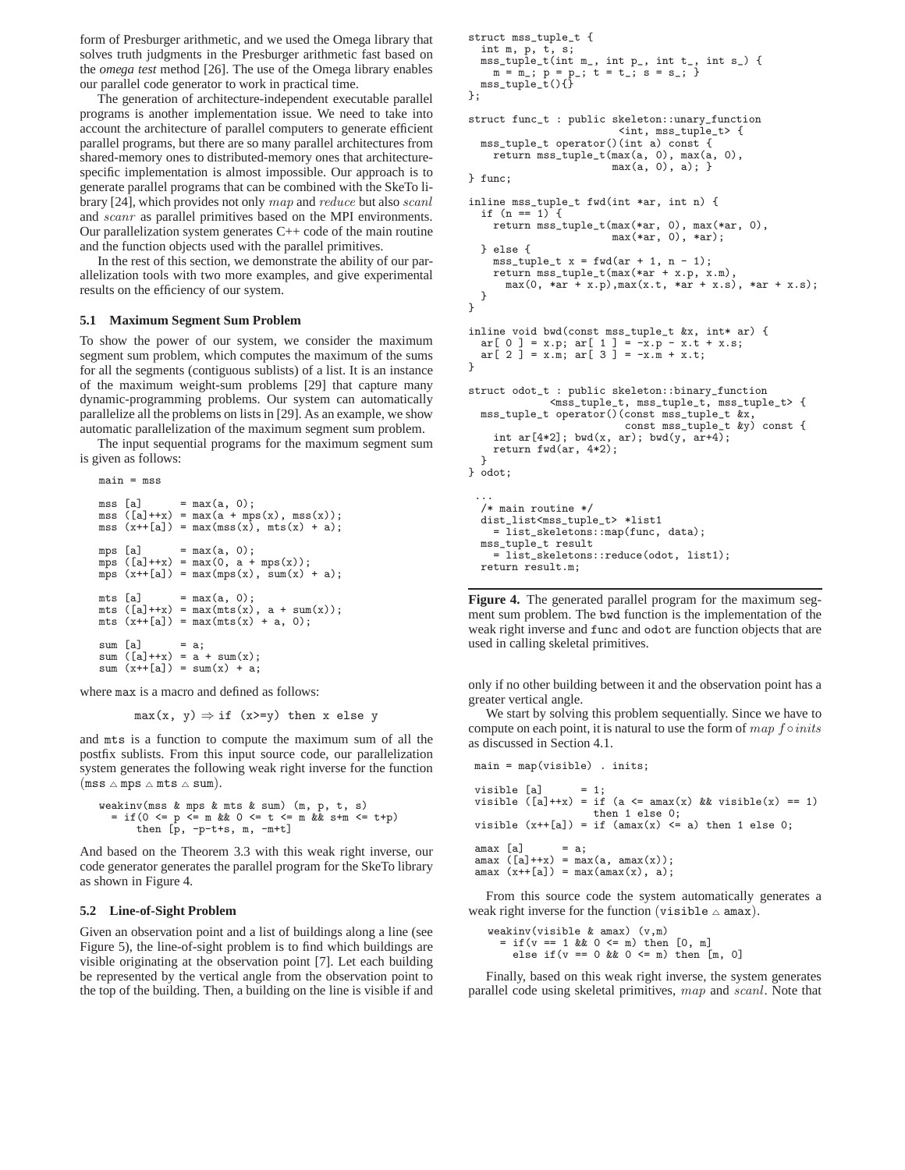form of Presburger arithmetic, and we used the Omega library that solves truth judgments in the Presburger arithmetic fast based on the *omega test* method [26]. The use of the Omega library enables our parallel code generator to work in practical time.

The generation of architecture-independent executable parallel programs is another implementation issue. We need to take into account the architecture of parallel computers to generate efficient parallel programs, but there are so many parallel architectures from shared-memory ones to distributed-memory ones that architecturespecific implementation is almost impossible. Our approach is to generate parallel programs that can be combined with the SkeTo library [24], which provides not only map and reduce but also scanl and scanr as parallel primitives based on the MPI environments. Our parallelization system generates  $C++$  code of the main routine and the function objects used with the parallel primitives.

In the rest of this section, we demonstrate the ability of our parallelization tools with two more examples, and give experimental results on the efficiency of our system.

## **5.1 Maximum Segment Sum Problem**

main = mss

To show the power of our system, we consider the maximum segment sum problem, which computes the maximum of the sums for all the segments (contiguous sublists) of a list. It is an instance of the maximum weight-sum problems [29] that capture many dynamic-programming problems. Our system can automatically parallelize all the problems on lists in [29]. As an example, we show automatic parallelization of the maximum segment sum problem.

The input sequential programs for the maximum segment sum is given as follows:

```
mss [a] = max(a, 0);mss ([a]++x) = max(a + mps(x), mss(x));
mss (x++[a]) = max(mss(x), mts(x) + a);
mps [a] = max(a, 0);mps ([a]++x) = max(0, a + mps(x));mps (x+ [a]) = max(mps(x), sum(x) + a);mts [a] = max(a, 0);
mts ([a]++x) = max(mts(x), a + sum(x));
mts (x++[a]) = max(mts(x) + a, 0);sum [a] = a;sum ([a]++x) = a + \text{sum}(x);
sum (x++[a]) = sum(x) + a;
```
where max is a macro and defined as follows:

```
max(x, y) \Rightarrow if (x>=y) then x else y
```
and mts is a function to compute the maximum sum of all the postfix sublists. From this input source code, our parallelization system generates the following weak right inverse for the function  $(mss \triangle mps \triangle mts \triangle sum).$ 

```
weakinv(mss & mps & mts & sum) (m, p, t, s)
  = if(0 <= p <= m && 0 <= t <= m && s+m <= t+p)
      then \[\bar{p}, -p-t+s, m, -m+t]\]
```
And based on the Theorem 3.3 with this weak right inverse, our code generator generates the parallel program for the SkeTo library as shown in Figure 4.

## **5.2 Line-of-Sight Problem**

Given an observation point and a list of buildings along a line (see Figure 5), the line-of-sight problem is to find which buildings are visible originating at the observation point [7]. Let each building be represented by the vertical angle from the observation point to the top of the building. Then, a building on the line is visible if and

```
struct mss_tuple_t {
  int m, p, t, s;
mss_tuple_t(int m_, int p_, int t_, int s_) {
     m = m_{-}; p = p_{-}; t = t_{-}; s = s_{-};mss_tuple_t(){}
};
struct func_t : public skeleton::unary_function
                            <int, mss_tuple_t> {
  mss_tuple_t operator()(int a) const {
    return mss_tuple_t(max(a, 0), max(a, 0),
                          max(a, 0), a);} func;
inline mss_tuple_t fwd(int *ar, int n) {
  if (n == 1) {
    return mss_tuple_t(max(*ar, 0), max(*ar, 0),
                          max(*ar, 0), *ar);
  } else {
     mss_tuple_t x = fwd(ar + 1, n - 1);
return mss_tuple_t(max(*ar + x.p, x.m),
       max(0, *ar + x.p), max(x.t, *ar + x.s), *ar + x.s;
  }
}
inline void bwd(const mss_tuple_t &x, int* ar) {<br>
ar[ 0 ] = x.p; ar[ 1 ] = -x.p - x.t + x.s;<br>
ar[ 2 ] = x.m; ar[ 3 ] = -x.m + x.t;
}
struct odot_t : public skeleton::binary_function
               <mss_tuple_t, mss_tuple_t, mss_tuple_t> {
  mss_tuple_t operator()(const mss_tuple_t &x,
                             const mss_tuple_t &y) const {
     int ar[4*2]; bwd(x, ar); bwd(y, ar+4);
    return fwd(ar, 4*2);
  }
} odot;
 ...
  /* main routine */
  dist_list<mss_tuple_t> *list1
    = list_skeletons::map(func, data);
  mss_tuple_t result
    = list_skeletons::reduce(odot, list1);
  return result.m;
```
**Figure 4.** The generated parallel program for the maximum segment sum problem. The bwd function is the implementation of the weak right inverse and func and odot are function objects that are used in calling skeletal primitives.

only if no other building between it and the observation point has a greater vertical angle.

We start by solving this problem sequentially. Since we have to compute on each point, it is natural to use the form of  $map$  f  $\circ inits$ as discussed in Section 4.1.

```
main = map(visible) . inits;
visible [a] = 1;
visible ([a]++x) = if (a \leq max(x) \&x visible(x) == 1)then 1 else 0;
visible (x++[a]) = if (amax(x) < = a) then 1 else 0;\text{amax} [a] = a;
amax ([a]++x) = max(a, amax(x));
amax (x++[a]) = max(amax(x), a);
```
From this source code the system automatically generates a weak right inverse for the function (visible  $\triangle$  amax).

weakinv(visible & amax) (v,m)  $=$  if(v == 1 && 0 <= m) then  $[0, m]$ else if  $(v == 0 & & 0 <= m)$  then  $[m, 0]$ 

Finally, based on this weak right inverse, the system generates parallel code using skeletal primitives, map and scanl. Note that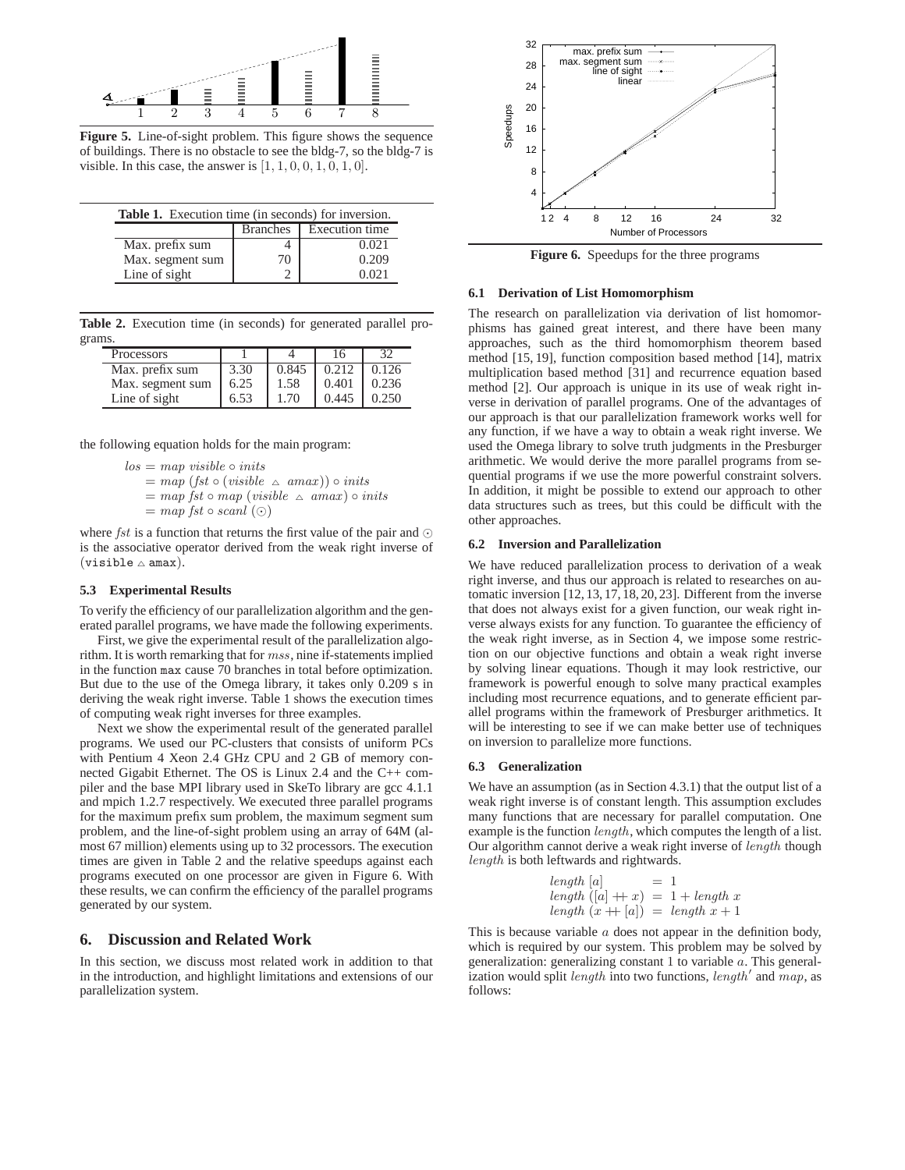

**Figure 5.** Line-of-sight problem. This figure shows the sequence of buildings. There is no obstacle to see the bldg-7, so the bldg-7 is visible. In this case, the answer is  $[1, 1, 0, 0, 1, 0, 1, 0]$ .

| <b>Table 1.</b> Execution time (in seconds) for inversion. |                 |                |  |  |  |  |
|------------------------------------------------------------|-----------------|----------------|--|--|--|--|
|                                                            | <b>Branches</b> | Execution time |  |  |  |  |
| Max. prefix sum                                            |                 | 0.021          |  |  |  |  |
| Max. segment sum                                           | $\prime$ ()     | 0.209          |  |  |  |  |
| Line of sight                                              |                 | 0.021          |  |  |  |  |

**Table 2.** Execution time (in seconds) for generated parallel programs.

| <b>Processors</b> |      |       |       | 32    |
|-------------------|------|-------|-------|-------|
| Max. prefix sum   | 3.30 | 0.845 | 0.212 | 0.126 |
| Max. segment sum  | 6.25 | 1.58  | 0.401 | 0.236 |
| Line of sight     | 6.53 | 1.70  | 0.445 | 0.250 |

the following equation holds for the main program:

 $los = map visible \circ inits$  $= map (fst \circ (visible \triangle amax)) \circ inits$  $=$  map fst  $\circ$  map (visible  $\triangle$  amax)  $\circ$  inits

 $= map fst \circ scanl \ (\odot)$ 

where *fst* is a function that returns the first value of the pair and  $\odot$ is the associative operator derived from the weak right inverse of  $(visible \triangle amax).$ 

## **5.3 Experimental Results**

To verify the efficiency of our parallelization algorithm and the generated parallel programs, we have made the following experiments.

First, we give the experimental result of the parallelization algorithm. It is worth remarking that for mss, nine if-statements implied in the function max cause 70 branches in total before optimization. But due to the use of the Omega library, it takes only 0.209 s in deriving the weak right inverse. Table 1 shows the execution times of computing weak right inverses for three examples.

Next we show the experimental result of the generated parallel programs. We used our PC-clusters that consists of uniform PCs with Pentium 4 Xeon 2.4 GHz CPU and 2 GB of memory connected Gigabit Ethernet. The OS is Linux 2.4 and the C++ compiler and the base MPI library used in SkeTo library are gcc 4.1.1 and mpich 1.2.7 respectively. We executed three parallel programs for the maximum prefix sum problem, the maximum segment sum problem, and the line-of-sight problem using an array of 64M (almost 67 million) elements using up to 32 processors. The execution times are given in Table 2 and the relative speedups against each programs executed on one processor are given in Figure 6. With these results, we can confirm the efficiency of the parallel programs generated by our system.

# **6. Discussion and Related Work**

In this section, we discuss most related work in addition to that in the introduction, and highlight limitations and extensions of our parallelization system.



**Figure 6.** Speedups for the three programs

## **6.1 Derivation of List Homomorphism**

The research on parallelization via derivation of list homomorphisms has gained great interest, and there have been many approaches, such as the third homomorphism theorem based method [15, 19], function composition based method [14], matrix multiplication based method [31] and recurrence equation based method [2]. Our approach is unique in its use of weak right inverse in derivation of parallel programs. One of the advantages of our approach is that our parallelization framework works well for any function, if we have a way to obtain a weak right inverse. We used the Omega library to solve truth judgments in the Presburger arithmetic. We would derive the more parallel programs from sequential programs if we use the more powerful constraint solvers. In addition, it might be possible to extend our approach to other data structures such as trees, but this could be difficult with the other approaches.

## **6.2 Inversion and Parallelization**

We have reduced parallelization process to derivation of a weak right inverse, and thus our approach is related to researches on automatic inversion [12, 13, 17, 18, 20, 23]. Different from the inverse that does not always exist for a given function, our weak right inverse always exists for any function. To guarantee the efficiency of the weak right inverse, as in Section 4, we impose some restriction on our objective functions and obtain a weak right inverse by solving linear equations. Though it may look restrictive, our framework is powerful enough to solve many practical examples including most recurrence equations, and to generate efficient parallel programs within the framework of Presburger arithmetics. It will be interesting to see if we can make better use of techniques on inversion to parallelize more functions.

#### **6.3 Generalization**

We have an assumption (as in Section 4.3.1) that the output list of a weak right inverse is of constant length. This assumption excludes many functions that are necessary for parallel computation. One example is the function length, which computes the length of a list. Our algorithm cannot derive a weak right inverse of length though length is both leftwards and rightwards.

length [a] = 1  
length ([a] +
$$
x
$$
) = 1 + length  $x$   
length  $(x + |a|)$  = length  $x + 1$ 

This is because variable  $a$  does not appear in the definition body, which is required by our system. This problem may be solved by generalization: generalizing constant 1 to variable a. This generalization would split *length* into two functions, *length'* and  $map$ , as follows: